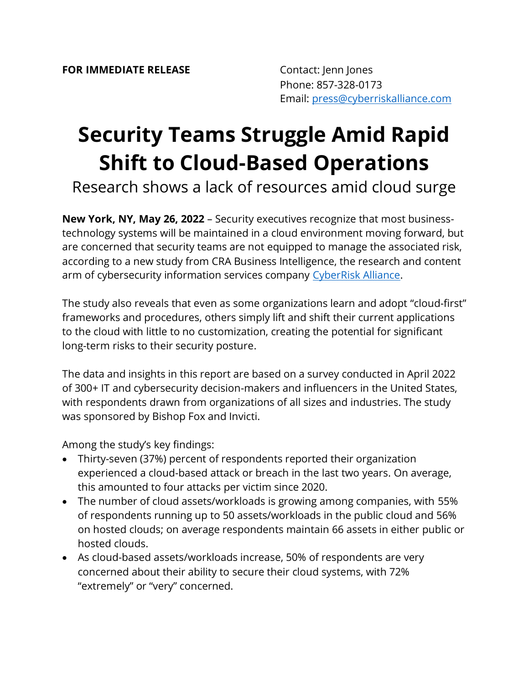## **Security Teams Struggle Amid Rapid Shift to Cloud-Based Operations**

Research shows a lack of resources amid cloud surge

**New York, NY, May 26, 2022** – Security executives recognize that most businesstechnology systems will be maintained in a cloud environment moving forward, but are concerned that security teams are not equipped to manage the associated risk, according to a new study from CRA Business Intelligence, the research and content arm of cybersecurity information services company [CyberRisk Alliance.](https://www.cyberriskalliance.com/)

The study also reveals that even as some organizations learn and adopt "cloud-first" frameworks and procedures, others simply lift and shift their current applications to the cloud with little to no customization, creating the potential for significant long-term risks to their security posture.

The data and insights in this report are based on a survey conducted in April 2022 of 300+ IT and cybersecurity decision-makers and influencers in the United States, with respondents drawn from organizations of all sizes and industries. The study was sponsored by Bishop Fox and Invicti.

Among the study's key findings:

- Thirty-seven (37%) percent of respondents reported their organization experienced a cloud-based attack or breach in the last two years. On average, this amounted to four attacks per victim since 2020.
- The number of cloud assets/workloads is growing among companies, with 55% of respondents running up to 50 assets/workloads in the public cloud and 56% on hosted clouds; on average respondents maintain 66 assets in either public or hosted clouds.
- As cloud-based assets/workloads increase, 50% of respondents are very concerned about their ability to secure their cloud systems, with 72% "extremely" or "very" concerned.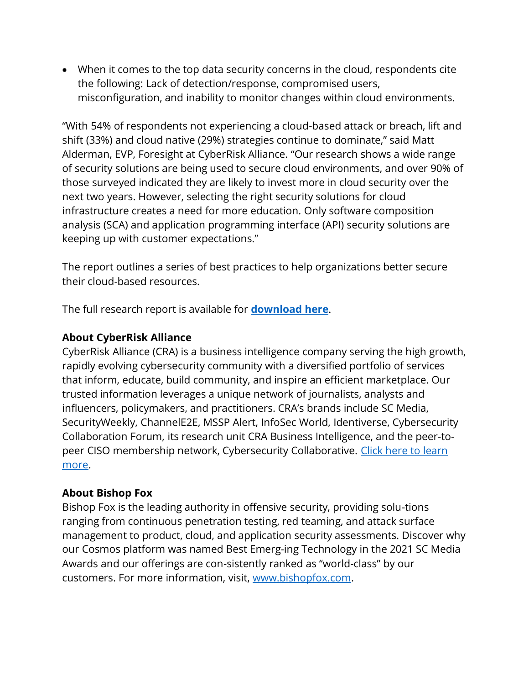• When it comes to the top data security concerns in the cloud, respondents cite the following: Lack of detection/response, compromised users, misconfiguration, and inability to monitor changes within cloud environments.

"With 54% of respondents not experiencing a cloud-based attack or breach, lift and shift (33%) and cloud native (29%) strategies continue to dominate," said Matt Alderman, EVP, Foresight at CyberRisk Alliance. "Our research shows a wide range of security solutions are being used to secure cloud environments, and over 90% of those surveyed indicated they are likely to invest more in cloud security over the next two years. However, selecting the right security solutions for cloud infrastructure creates a need for more education. Only software composition analysis (SCA) and application programming interface (API) security solutions are keeping up with customer expectations."

The report outlines a series of best practices to help organizations better secure their cloud-based resources.

The full research report is available for **[download here](https://www.scmagazine.com/whitepaper/as-cloud-adoption-surges-can-security-keep-pace)**.

## **About CyberRisk Alliance**

CyberRisk Alliance (CRA) is a business intelligence company serving the high growth, rapidly evolving cybersecurity community with a diversified portfolio of services that inform, educate, build community, and inspire an efficient marketplace. Our trusted information leverages a unique network of journalists, analysts and influencers, policymakers, and practitioners. CRA's brands include SC Media, SecurityWeekly, ChannelE2E, MSSP Alert, InfoSec World, Identiverse, Cybersecurity Collaboration Forum, its research unit CRA Business Intelligence, and the peer-topeer CISO membership network, Cybersecurity Collaborative. Click here to learn [more.](https://www.cyberriskalliance.com/)

## **About Bishop Fox**

Bishop Fox is the leading authority in offensive security, providing solu-tions ranging from continuous penetration testing, red teaming, and attack surface management to product, cloud, and application security assessments. Discover why our Cosmos platform was named Best Emerg-ing Technology in the 2021 SC Media Awards and our offerings are con-sistently ranked as "world-class" by our customers. For more information, visit, [www.bishopfox.com.](http://www.bishopfox.com/)